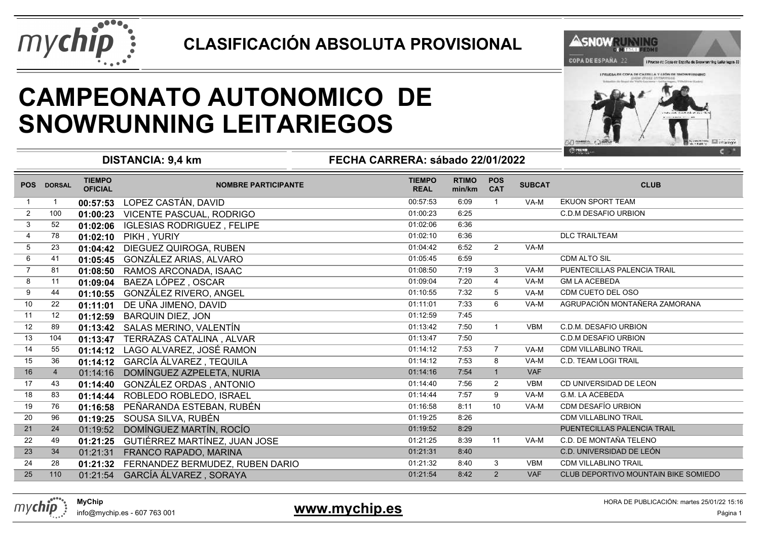

### **CLASIFICACIÓN ABSOLUTA PROVISIONAL**



## **CAMPEONATO AUTONOMICO DESNOWRUNNING LEITARIEGOS**



**DISTANCIA: 9,4 km**

**FECHA CARRERA: sábado 22/01/2022**

| <b>POS</b>      | <b>DORSAL</b>     | <b>TIEMPO</b><br><b>OFICIAL</b> | <b>NOMBRE PARTICIPANTE</b>        | <b>TIEMPO</b><br><b>REAL</b> | <b>RTIMO</b><br>min/km | <b>POS</b><br><b>CAT</b> | <b>SUBCAT</b> | <b>CLUB</b>                          |
|-----------------|-------------------|---------------------------------|-----------------------------------|------------------------------|------------------------|--------------------------|---------------|--------------------------------------|
|                 | -1                | 00:57:53                        | LOPEZ CASTÁN, DAVID               | 00:57:53                     | 6:09                   | $\mathbf{1}$             | VA-M          | EKUON SPORT TEAM                     |
| $\overline{2}$  | 100               | 01:00:23                        | <b>VICENTE PASCUAL, RODRIGO</b>   | 01:00:23                     | 6:25                   |                          |               | <b>C.D.M DESAFIO URBION</b>          |
| $\mathbf{3}$    | 52                | 01:02:06                        | <b>IGLESIAS RODRIGUEZ, FELIPE</b> | 01:02:06                     | 6:36                   |                          |               |                                      |
| 4               | 78                | 01:02:10                        | PIKH, YURIY                       | 01:02:10                     | 6:36                   |                          |               | <b>DLC TRAILTEAM</b>                 |
| $5\phantom{.0}$ | 23                | 01:04:42                        | DIEGUEZ QUIROGA, RUBEN            | 01:04:42                     | 6:52                   | 2                        | VA-M          |                                      |
| 6               | 41                | 01:05:45                        | GONZÁLEZ ARIAS, ALVARO            | 01:05:45                     | 6:59                   |                          |               | CDM ALTO SIL                         |
| $\overline{7}$  | 81                | 01:08:50                        | RAMOS ARCONADA, ISAAC             | 01:08:50                     | 7:19                   | 3                        | VA-M          | PUENTECILLAS PALENCIA TRAIL          |
| 8               | 11                | 01:09:04                        | BAEZA LÓPEZ, OSCAR                | 01:09:04                     | 7:20                   | $\overline{4}$           | VA-M          | <b>GM LA ACEBEDA</b>                 |
| 9               | 44                | 01:10:55                        | GONZÁLEZ RIVERO, ANGEL            | 01:10:55                     | 7:32                   | 5                        | VA-M          | CDM CUETO DEL OSO                    |
| 10              | 22                | 01:11:01                        | DE UÑA JIMENO, DAVID              | 01:11:01                     | 7:33                   | 6                        | VA-M          | AGRUPACIÓN MONTAÑERA ZAMORANA        |
| 11              | $12 \overline{ }$ | 01:12:59                        | <b>BARQUIN DIEZ, JON</b>          | 01:12:59                     | 7:45                   |                          |               |                                      |
| 12              | 89                | 01:13:42                        | SALAS MERINO, VALENTÍN            | 01:13:42                     | 7:50                   | $\mathbf{1}$             | <b>VBM</b>    | C.D.M. DESAFIO URBION                |
| 13              | 104               | 01:13:47                        | TERRAZAS CATALINA, ALVAR          | 01:13:47                     | 7:50                   |                          |               | C.D.M DESAFIO URBION                 |
| 14              | 55                | 01:14:12                        | LAGO ALVAREZ, JOSÉ RAMON          | 01:14:12                     | 7:53                   | $\overline{7}$           | VA-M          | <b>CDM VILLABLINO TRAIL</b>          |
| 15              | 36                | 01:14:12                        | GARCÍA ÁLVAREZ, TEQUILA           | 01:14:12                     | 7:53                   | 8                        | VA-M          | C.D. TEAM LOGI TRAIL                 |
| 16              | $\overline{4}$    | 01:14:16                        | DOMÍNGUEZ AZPELETA, NURIA         | 01:14:16                     | 7:54                   | $\overline{1}$           | <b>VAF</b>    |                                      |
| 17              | 43                | 01:14:40                        | GONZÁLEZ ORDAS, ANTONIO           | 01:14:40                     | 7:56                   | $\overline{2}$           | <b>VBM</b>    | CD UNIVERSIDAD DE LEON               |
| 18              | 83                | 01:14:44                        | ROBLEDO ROBLEDO, ISRAEL           | 01:14:44                     | 7:57                   | 9                        | VA-M          | <b>G.M. LA ACEBEDA</b>               |
| 19              | 76                | 01:16:58                        | PEÑARANDA ESTEBAN, RUBÉN          | 01:16:58                     | 8:11                   | 10                       | VA-M          | CDM DESAFÍO URBION                   |
| 20              | 96                | 01:19:25                        | SOUSA SILVA, RUBÉN                | 01:19:25                     | 8:26                   |                          |               | <b>CDM VILLABLINO TRAIL</b>          |
| 21              | 24                | 01:19:52                        | DOMÍNGUEZ MARTÍN, ROCÍO           | 01:19:52                     | 8:29                   |                          |               | PUENTECILLAS PALENCIA TRAIL          |
| 22              | 49                | 01:21:25                        | GUTIÉRREZ MARTÍNEZ, JUAN JOSE     | 01:21:25                     | 8:39                   | 11                       | VA-M          | C.D. DE MONTAÑA TELENO               |
| 23              | 34                | 01:21:31                        | FRANCO RAPADO, MARINA             | 01:21:31                     | 8:40                   |                          |               | C.D. UNIVERSIDAD DE LEÓN             |
| 24              | 28                | 01:21:32                        | FERNANDEZ BERMUDEZ, RUBEN DARIO   | 01:21:32                     | 8:40                   | 3                        | <b>VBM</b>    | <b>CDM VILLABLINO TRAIL</b>          |
| 25              | 110               | 01:21:54                        | GARCÍA ÁLVAREZ, SORAYA            | 01:21:54                     | 8:42                   | 2                        | <b>VAF</b>    | CLUB DEPORTIVO MOUNTAIN BIKE SOMIEDO |

**MyChip**info@mychip.es - 607 763 001

mychip

#### 1 **Extra Secondary Structure (Secondary Structure Control of Secondary Structure Control of Secondary Secondary Secondary Secondary Secondary Secondary Secondary Secondary Secondary Secondary Secondary Secondary Secondary www.mychip.es**

HORA DE PUBLICACIÓN: martes 25/01/22 15:16